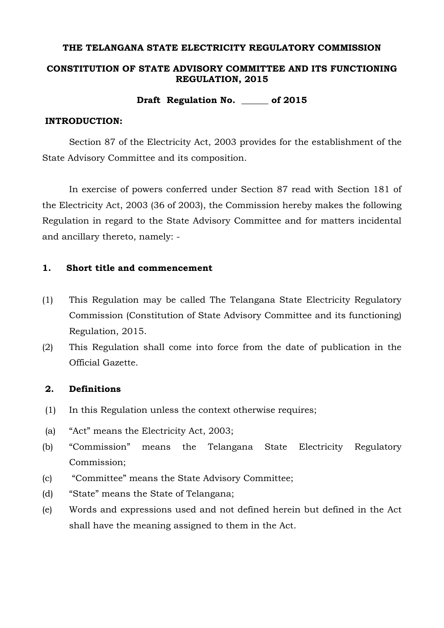#### **THE TELANGANA STATE ELECTRICITY REGULATORY COMMISSION**

### **CONSTITUTION OF STATE ADVISORY COMMITTEE AND ITS FUNCTIONING REGULATION, 2015**

## **Draft Regulation No. \_\_\_\_\_\_ of 2015**

#### **INTRODUCTION:**

Section 87 of the Electricity Act, 2003 provides for the establishment of the State Advisory Committee and its composition.

In exercise of powers conferred under Section 87 read with Section 181 of the Electricity Act, 2003 (36 of 2003), the Commission hereby makes the following Regulation in regard to the State Advisory Committee and for matters incidental and ancillary thereto, namely: -

### **1. Short title and commencement**

- (1) This Regulation may be called The Telangana State Electricity Regulatory Commission (Constitution of State Advisory Committee and its functioning) Regulation, 2015.
- (2) This Regulation shall come into force from the date of publication in the Official Gazette.

### **2. Definitions**

- (1) In this Regulation unless the context otherwise requires;
- (a) "Act" means the Electricity Act, 2003;
- (b) "Commission" means the Telangana State Electricity Regulatory Commission;
- (c) "Committee" means the State Advisory Committee;
- (d) "State" means the State of Telangana;
- (e) Words and expressions used and not defined herein but defined in the Act shall have the meaning assigned to them in the Act.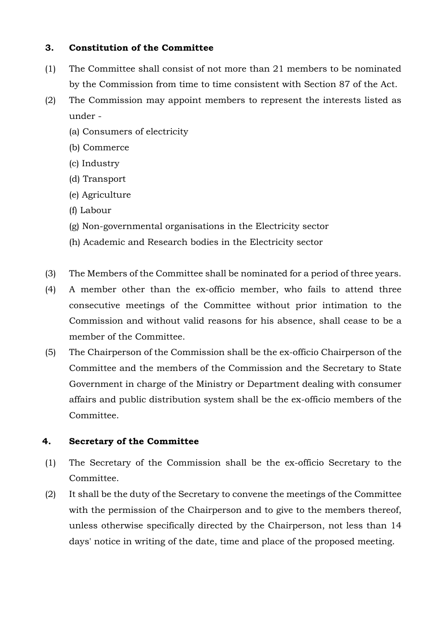## **3. Constitution of the Committee**

- (1) The Committee shall consist of not more than 21 members to be nominated by the Commission from time to time consistent with Section 87 of the Act.
- (2) The Commission may appoint members to represent the interests listed as under -
	- (a) Consumers of electricity
	- (b) Commerce
	- (c) Industry
	- (d) Transport
	- (e) Agriculture
	- (f) Labour
	- (g) Non-governmental organisations in the Electricity sector
	- (h) Academic and Research bodies in the Electricity sector
- (3) The Members of the Committee shall be nominated for a period of three years.
- (4) A member other than the ex-officio member, who fails to attend three consecutive meetings of the Committee without prior intimation to the Commission and without valid reasons for his absence, shall cease to be a member of the Committee.
- (5) The Chairperson of the Commission shall be the ex-officio Chairperson of the Committee and the members of the Commission and the Secretary to State Government in charge of the Ministry or Department dealing with consumer affairs and public distribution system shall be the ex-officio members of the Committee.

# **4. Secretary of the Committee**

- (1) The Secretary of the Commission shall be the ex-officio Secretary to the Committee.
- (2) It shall be the duty of the Secretary to convene the meetings of the Committee with the permission of the Chairperson and to give to the members thereof, unless otherwise specifically directed by the Chairperson, not less than 14 days' notice in writing of the date, time and place of the proposed meeting.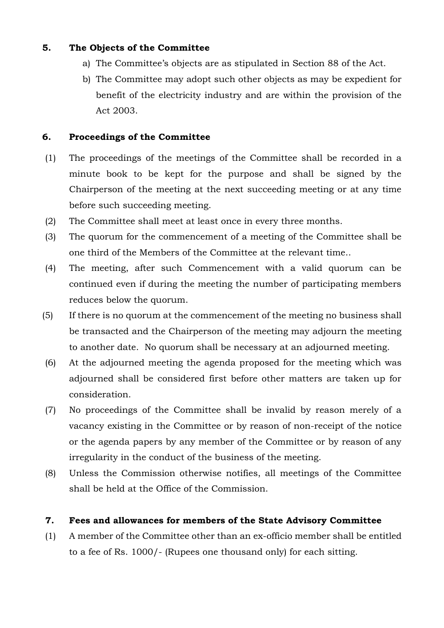## **5. The Objects of the Committee**

- a) The Committee's objects are as stipulated in Section 88 of the Act.
- b) The Committee may adopt such other objects as may be expedient for benefit of the electricity industry and are within the provision of the Act 2003.

# **6. Proceedings of the Committee**

- (1) The proceedings of the meetings of the Committee shall be recorded in a minute book to be kept for the purpose and shall be signed by the Chairperson of the meeting at the next succeeding meeting or at any time before such succeeding meeting.
- (2) The Committee shall meet at least once in every three months.
- (3) The quorum for the commencement of a meeting of the Committee shall be one third of the Members of the Committee at the relevant time..
- (4) The meeting, after such Commencement with a valid quorum can be continued even if during the meeting the number of participating members reduces below the quorum.
- (5) If there is no quorum at the commencement of the meeting no business shall be transacted and the Chairperson of the meeting may adjourn the meeting to another date. No quorum shall be necessary at an adjourned meeting.
- (6) At the adjourned meeting the agenda proposed for the meeting which was adjourned shall be considered first before other matters are taken up for consideration.
- (7) No proceedings of the Committee shall be invalid by reason merely of a vacancy existing in the Committee or by reason of non-receipt of the notice or the agenda papers by any member of the Committee or by reason of any irregularity in the conduct of the business of the meeting.
- (8) Unless the Commission otherwise notifies, all meetings of the Committee shall be held at the Office of the Commission.

# **7. Fees and allowances for members of the State Advisory Committee**

(1) A member of the Committee other than an ex-officio member shall be entitled to a fee of Rs. 1000/- (Rupees one thousand only) for each sitting.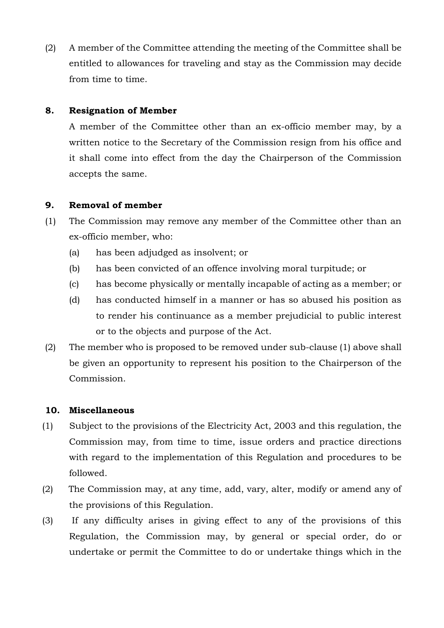(2) A member of the Committee attending the meeting of the Committee shall be entitled to allowances for traveling and stay as the Commission may decide from time to time.

## **8. Resignation of Member**

A member of the Committee other than an ex-officio member may, by a written notice to the Secretary of the Commission resign from his office and it shall come into effect from the day the Chairperson of the Commission accepts the same.

### **9. Removal of member**

- (1) The Commission may remove any member of the Committee other than an ex-officio member, who:
	- (a) has been adjudged as insolvent; or
	- (b) has been convicted of an offence involving moral turpitude; or
	- (c) has become physically or mentally incapable of acting as a member; or
	- (d) has conducted himself in a manner or has so abused his position as to render his continuance as a member prejudicial to public interest or to the objects and purpose of the Act.
- (2) The member who is proposed to be removed under sub-clause (1) above shall be given an opportunity to represent his position to the Chairperson of the Commission.

# **10. Miscellaneous**

- (1) Subject to the provisions of the Electricity Act, 2003 and this regulation, the Commission may, from time to time, issue orders and practice directions with regard to the implementation of this Regulation and procedures to be followed.
- (2) The Commission may, at any time, add, vary, alter, modify or amend any of the provisions of this Regulation.
- (3) If any difficulty arises in giving effect to any of the provisions of this Regulation, the Commission may, by general or special order, do or undertake or permit the Committee to do or undertake things which in the